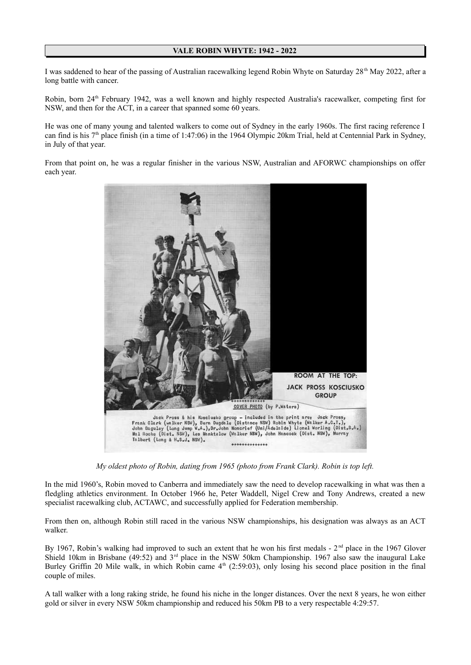## **VALE ROBIN WHYTE: 1942 - 2022**

I was saddened to hear of the passing of Australian racewalking legend Robin Whyte on Saturday  $28<sup>th</sup>$  May 2022, after a long battle with cancer.

Robin, born 24<sup>th</sup> February 1942, was a well known and highly respected Australia's racewalker, competing first for NSW, and then for the ACT, in a career that spanned some 60 years.

He was one of many young and talented walkers to come out of Sydney in the early 1960s. The first racing reference I can find is his  $7<sup>th</sup>$  place finish (in a time of 1:47:06) in the 1964 Olympic 20km Trial, held at Centennial Park in Sydney, in July of that year.

From that point on, he was a regular finisher in the various NSW, Australian and AFORWC championships on offer each year.



*My oldest photo of Robin, dating from 1965 (photo from Frank Clark). Robin is top left.*

In the mid 1960's, Robin moved to Canberra and immediately saw the need to develop racewalking in what was then a fledgling athletics environment. In October 1966 he, Peter Waddell, Nigel Crew and Tony Andrews, created a new specialist racewalking club, ACTAWC, and successfully applied for Federation membership.

From then on, although Robin still raced in the various NSW championships, his designation was always as an ACT walker.

By 1967, Robin's walking had improved to such an extent that he won his first medals - 2<sup>nd</sup> place in the 1967 Glover Shield 10km in Brisbane (49:52) and  $3<sup>rd</sup>$  place in the NSW 50km Championship. 1967 also saw the inaugural Lake Burley Griffin 20 Mile walk, in which Robin came  $4<sup>th</sup>$  (2:59:03), only losing his second place position in the final couple of miles.

A tall walker with a long raking stride, he found his niche in the longer distances. Over the next 8 years, he won either gold or silver in every NSW 50km championship and reduced his 50km PB to a very respectable 4:29:57.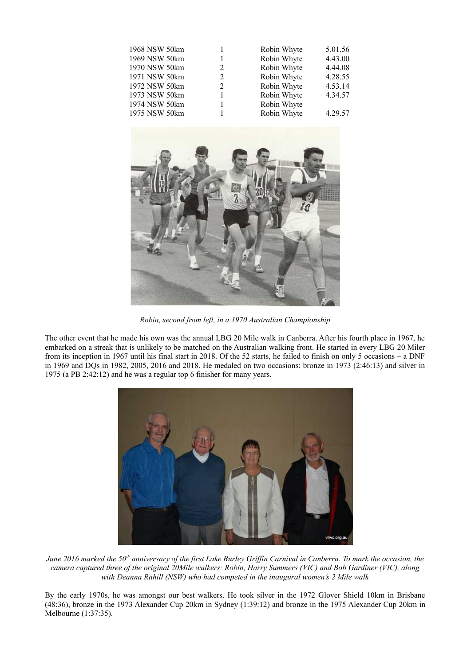| 1968 NSW 50km |   | Robin Whyte | 5.01.56 |
|---------------|---|-------------|---------|
| 1969 NSW 50km |   | Robin Whyte | 4.43.00 |
| 1970 NSW 50km | 2 | Robin Whyte | 4.44.08 |
| 1971 NSW 50km | 2 | Robin Whyte | 4.28.55 |
| 1972 NSW 50km | 2 | Robin Whyte | 4.53.14 |
| 1973 NSW 50km |   | Robin Whyte | 4.34.57 |
| 1974 NSW 50km |   | Robin Whyte |         |
| 1975 NSW 50km |   | Robin Whyte | 4.29.57 |



*Robin, second from left, in a 1970 Australian Championship*

The other event that he made his own was the annual LBG 20 Mile walk in Canberra. After his fourth place in 1967, he embarked on a streak that is unlikely to be matched on the Australian walking front. He started in every LBG 20 Miler from its inception in 1967 until his final start in 2018. Of the 52 starts, he failed to finish on only 5 occasions – a DNF in 1969 and DQs in 1982, 2005, 2016 and 2018. He medaled on two occasions: bronze in 1973 (2:46:13) and silver in 1975 (a PB 2:42:12) and he was a regular top 6 finisher for many years.



*June 2016 marked the 50th anniversary of the first Lake Burley Griffin Carnival in Canberra. To mark the occasion, the camera captured three of the original 20Mile walkers: Robin, Harry Summers (VIC) and Bob Gardiner (VIC), along with Deanna Rahill (NSW) who had competed in the inaugural women's 2 Mile walk*

By the early 1970s, he was amongst our best walkers. He took silver in the 1972 Glover Shield 10km in Brisbane (48:36), bronze in the 1973 Alexander Cup 20km in Sydney (1:39:12) and bronze in the 1975 Alexander Cup 20km in Melbourne (1:37:35).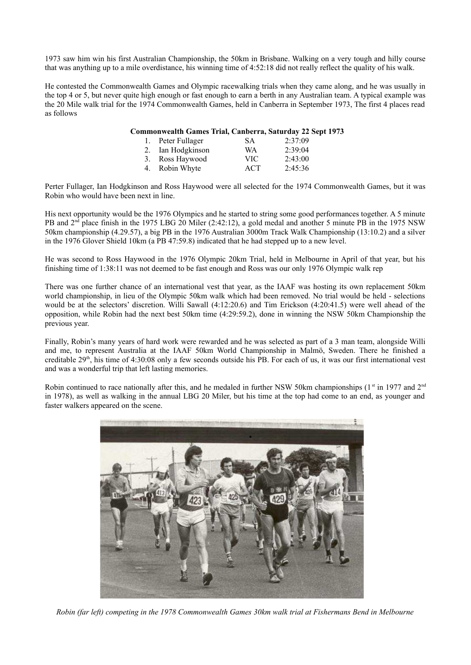1973 saw him win his first Australian Championship, the 50km in Brisbane. Walking on a very tough and hilly course that was anything up to a mile overdistance, his winning time of 4:52:18 did not really reflect the quality of his walk.

He contested the Commonwealth Games and Olympic racewalking trials when they came along, and he was usually in the top 4 or 5, but never quite high enough or fast enough to earn a berth in any Australian team. A typical example was the 20 Mile walk trial for the 1974 Commonwealth Games, held in Canberra in September 1973, The first 4 places read as follows

## **Commonwealth Games Trial, Canberra, Saturday 22 Sept 1973**

| 1. Peter Fullager | <b>SA</b> | 2:37:09 |
|-------------------|-----------|---------|
| 2. Ian Hodgkinson | <b>WA</b> | 2:39:04 |
| 3. Ross Haywood   | VIC       | 2:43:00 |
| 4. Robin Whyte    | ACT       | 2:45:36 |

Perter Fullager, Ian Hodgkinson and Ross Haywood were all selected for the 1974 Commonwealth Games, but it was Robin who would have been next in line.

His next opportunity would be the 1976 Olympics and he started to string some good performances together. A 5 minute PB and  $2<sup>nd</sup>$  place finish in the 1975 LBG 20 Miler (2:42:12), a gold medal and another 5 minute PB in the 1975 NSW 50km championship (4.29.57), a big PB in the 1976 Australian 3000m Track Walk Championship (13:10.2) and a silver in the 1976 Glover Shield 10km (a PB 47:59.8) indicated that he had stepped up to a new level.

He was second to Ross Haywood in the 1976 Olympic 20km Trial, held in Melbourne in April of that year, but his finishing time of 1:38:11 was not deemed to be fast enough and Ross was our only 1976 Olympic walk rep

There was one further chance of an international vest that year, as the IAAF was hosting its own replacement 50km world championship, in lieu of the Olympic 50km walk which had been removed. No trial would be held - selections would be at the selectors' discretion. Willi Sawall (4:12:20.6) and Tim Erickson (4:20:41.5) were well ahead of the opposition, while Robin had the next best 50km time (4:29:59.2), done in winning the NSW 50km Championship the previous year.

Finally, Robin's many years of hard work were rewarded and he was selected as part of a 3 man team, alongside Willi and me, to represent Australia at the IAAF 50km World Championship in Malmö, Sweden. There he finished a creditable  $29<sup>th</sup>$ , his time of 4:30:08 only a few seconds outside his PB. For each of us, it was our first international vest and was a wonderful trip that left lasting memories.

Robin continued to race nationally after this, and he medaled in further NSW 50km championships ( $1<sup>st</sup>$  in 1977 and  $2<sup>nd</sup>$ in 1978), as well as walking in the annual LBG 20 Miler, but his time at the top had come to an end, as younger and faster walkers appeared on the scene.



*Robin (far left) competing in the 1978 Commonwealth Games 30km walk trial at Fishermans Bend in Melbourne*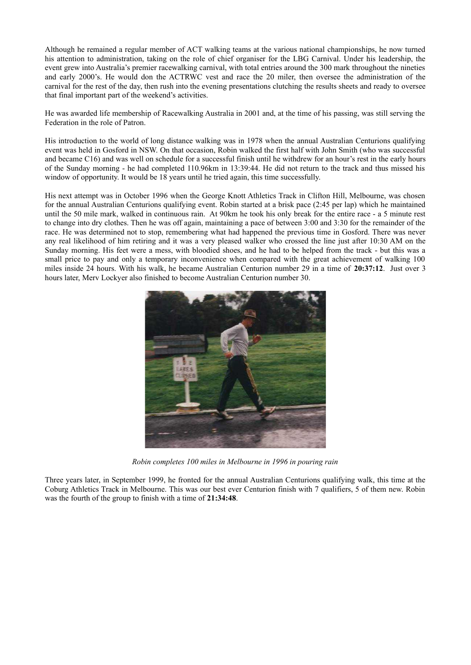Although he remained a regular member of ACT walking teams at the various national championships, he now turned his attention to administration, taking on the role of chief organiser for the LBG Carnival. Under his leadership, the event grew into Australia's premier racewalking carnival, with total entries around the 300 mark throughout the nineties and early 2000's. He would don the ACTRWC vest and race the 20 miler, then oversee the administration of the carnival for the rest of the day, then rush into the evening presentations clutching the results sheets and ready to oversee that final important part of the weekend's activities.

He was awarded life membership of Racewalking Australia in 2001 and, at the time of his passing, was still serving the Federation in the role of Patron.

His introduction to the world of long distance walking was in 1978 when the annual Australian Centurions qualifying event was held in Gosford in NSW. On that occasion, Robin walked the first half with John Smith (who was successful and became C16) and was well on schedule for a successful finish until he withdrew for an hour's rest in the early hours of the Sunday morning - he had completed 110.96km in 13:39:44. He did not return to the track and thus missed his window of opportunity. It would be 18 years until he tried again, this time successfully.

His next attempt was in October 1996 when the George Knott Athletics Track in Clifton Hill, Melbourne, was chosen for the annual Australian Centurions qualifying event. Robin started at a brisk pace (2:45 per lap) which he maintained until the 50 mile mark, walked in continuous rain. At 90km he took his only break for the entire race - a 5 minute rest to change into dry clothes. Then he was off again, maintaining a pace of between 3:00 and 3:30 for the remainder of the race. He was determined not to stop, remembering what had happened the previous time in Gosford. There was never any real likelihood of him retiring and it was a very pleased walker who crossed the line just after 10:30 AM on the Sunday morning. His feet were a mess, with bloodied shoes, and he had to be helped from the track - but this was a small price to pay and only a temporary inconvenience when compared with the great achievement of walking 100 miles inside 24 hours. With his walk, he became Australian Centurion number 29 in a time of **20:37:12**. Just over 3 hours later, Merv Lockyer also finished to become Australian Centurion number 30.



*Robin completes 100 miles in Melbourne in 1996 in pouring rain*

Three years later, in September 1999, he fronted for the annual Australian Centurions qualifying walk, this time at the Coburg Athletics Track in Melbourne. This was our best ever Centurion finish with 7 qualifiers, 5 of them new. Robin was the fourth of the group to finish with a time of **21:34:48**.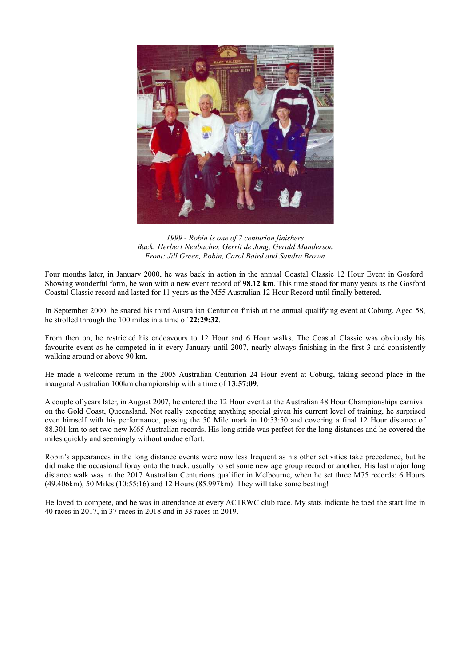

*1999 - Robin is one of 7 centurion finishers Back: Herbert Neubacher, Gerrit de Jong, Gerald Manderson Front: Jill Green, Robin, Carol Baird and Sandra Brown*

Four months later, in January 2000, he was back in action in the annual Coastal Classic 12 Hour Event in Gosford. Showing wonderful form, he won with a new event record of **98.12 km**. This time stood for many years as the Gosford Coastal Classic record and lasted for 11 years as the M55 Australian 12 Hour Record until finally bettered.

In September 2000, he snared his third Australian Centurion finish at the annual qualifying event at Coburg. Aged 58, he strolled through the 100 miles in a time of **22:29:32**.

From then on, he restricted his endeavours to 12 Hour and 6 Hour walks. The Coastal Classic was obviously his favourite event as he competed in it every January until 2007, nearly always finishing in the first 3 and consistently walking around or above 90 km.

He made a welcome return in the 2005 Australian Centurion 24 Hour event at Coburg, taking second place in the inaugural Australian 100km championship with a time of **13:57:09**.

A couple of years later, in August 2007, he entered the 12 Hour event at the Australian 48 Hour Championships carnival on the Gold Coast, Queensland. Not really expecting anything special given his current level of training, he surprised even himself with his performance, passing the 50 Mile mark in 10:53:50 and covering a final 12 Hour distance of 88.301 km to set two new M65 Australian records. His long stride was perfect for the long distances and he covered the miles quickly and seemingly without undue effort.

Robin's appearances in the long distance events were now less frequent as his other activities take precedence, but he did make the occasional foray onto the track, usually to set some new age group record or another. His last major long distance walk was in the 2017 Australian Centurions qualifier in Melbourne, when he set three M75 records: 6 Hours (49.406km), 50 Miles (10:55:16) and 12 Hours (85.997km). They will take some beating!

He loved to compete, and he was in attendance at every ACTRWC club race. My stats indicate he toed the start line in 40 races in 2017, in 37 races in 2018 and in 33 races in 2019.